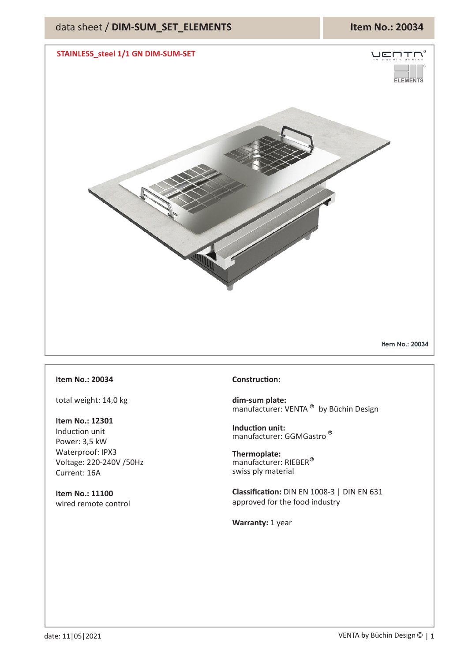

## **Item No.: 20034**

total weight: 14,0 kg

**Item No.: 12301** Induction unit Power: 3,5 kW Waterproof: IPX3 Voltage: 220-240V /50Hz Current: 16A

**Item No.: 11100** wired remote control

## **Construction:**

**dim-sum plate:** manufacturer: VENTA<sup>®</sup> by Büchin Design

**Induction unit:** manufacturer: GGMGastro **R**

**Thermoplate:** manufacturer: RIEBER **R** swiss ply material

**Classification:** DIN EN 1008-3 | DIN EN 631 approved for the food industry

**Warranty:** 1 year